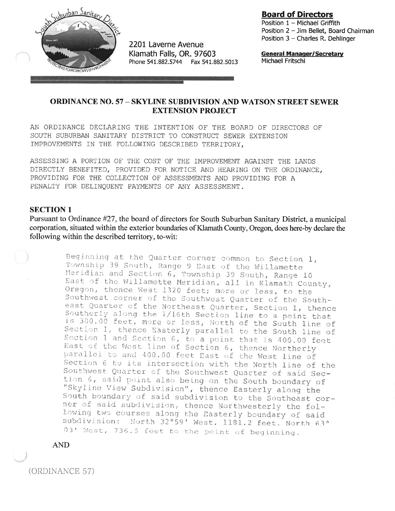

2201 Laverne Avenue Klamath Falls, OR. 97603 Phone 541.882.5744 Fax 541.882.5013

## Board of Directors

Position 1 - Michael Griffith Position 2 - Jim Bellet, Board Chairman Position  $3$  – Charles R. Dehlinger

**General Manager/Secretary** Michael Fritschi

# ORDINANCE NO. 57 - SKYLINE SUBDIVISION AND WATSON STREET SEWER EXTENSION PROJECT

AN ORDINANCE DECLARING THE INTENTION OF THE BOARD OF DIRECTORS OF SOUTH SUBURBAN SANTTARY DISTRICT TO CONSTRUCT SEWER EXTENSTON IMPROVEMENTS IN THE FOLLOWING DESCRIBED TERRITORY,

ASSESSING A PORTION OF THE COST OF THE IMPROVEMENT AGAINST THE LANDS DIRECTLY BENEFITED, PROVIDED FOR NOTICE AND HEARING ON THE ORDINANCE, PROVIDING FOR THE COLLECTION OF ASSESSMENTS AND PROVIDING FOR A PENALTY FOR DELINQUENT PAYMENTS OF ANY ASSESSMENT.

#### SECTION <sup>1</sup>

Pursuant to Ordinance #27, the board of directors for South Suburban Sanitary District, a municipal corporation, situated within the exterior boundaries of Klamath County, Oregon, does here-by declare the following within the described territory, to-wit:

> Beginning at the Quarter corner common to Section 1, Township 39 South, Range 9 East of the Willamette Meridian and Section 6, Township 39 South, Range 10<br>East of the Willamette Meridian, all in Klamath County,<br>Oregon, thence West 1320 feet; more or less, to the<br>Southwest corner of the Southwest Quarter of the South-<br>east Q Section 1, thence Easterly parallel to the South line of<br>Section 1 and Section 6, to a point that is 400.00 feet East of the West line of Section 6, thence Northerly<br>parallel to and 400.00 feet East of the West line of Section 6 to its intersection with the North line of the<br>Southwest Quarter of the Southwest Quarter of said Sec-<br>tion 6, said point also being on the South boundary of<br>"Skyline View Subdivision", thence Easterly along the<br> 03' West, 736.5 feet to the point of beginning.

AND

(ORDINANCE 57)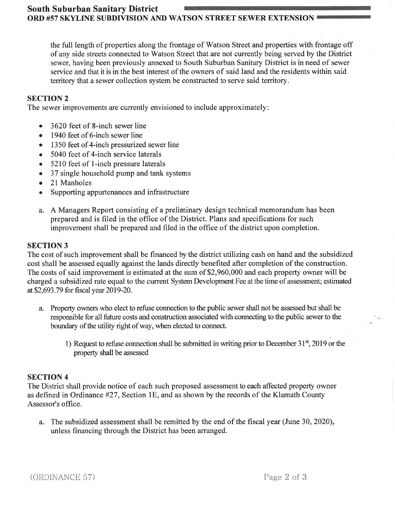the full length of properties along the frontage of Watson Street and properties with frontage off of any side streets connected to Watson Street that are not currently being served by the District sewer, having been previously annexed to South Suburban Sanitary District is in need of sewer service and that it is in the best interest of the owners of said land and the residents within said territory that a sewer collection system be constructed to serve said territory.

# SECTION 2

The sewer improvements are currently envisioned to include approximately:

- $\bullet$  3620 feet of 8-inch sewer line
- 1940 feet of 6-inch sewer line
- 1350 feet of 4-inch pressurized sewer line
- o 5040 feet of 4-inch service laterals
- o 5210 feet of l-inch pressure laterals
- 37 single household pump and tank systems
- 21 Manholes
- o Supporting appurtenances and infrastructure
- a. A Managers Report consisting of a preliminary design technical memorandum has been prepared and is filed in the office of the District. Plans and specifications for such improvement shall be prepared and filed in the office of the district upon completion.

## SECTION 3

The cost of such improvement shall be financed by the district utilizing cash on hand and the subsidized cost shall be assessed equally against the lands directly benefited after completion of the construction. The costs of said improvement is estimated at the sum of \$2,960,000 and each property owner will be charged a subsidized rate equal to the current System Development Fee at the time of assessment; estimated at  $$2,693.79$  for fiscal year 2019-20.

- a. Property owners who elect to refuse connection to the public sewer shall not be assessed but shall be responsible for all future costs and consfuction associated with connecting to the public sewer to the boundary of the utility right of way, when elected to connect.
	- 1) Request to refuse connection shall be submitted in writing prior to December  $31<sup>st</sup>$ , 2019 or the property shall be assessed

## SECTION 4

The District shall provide notice of each such proposed assessment to each affected property owner as defined in Ordinance #27, Section lE, and as shown by the records of the Klamath County Assessor's office.

a. The subsidized assessment shall be remitted by the end of the fiscal year (June 30,2020), unless financing through the District has been arranged.

(ORDINANCE 57) Page 2 of 3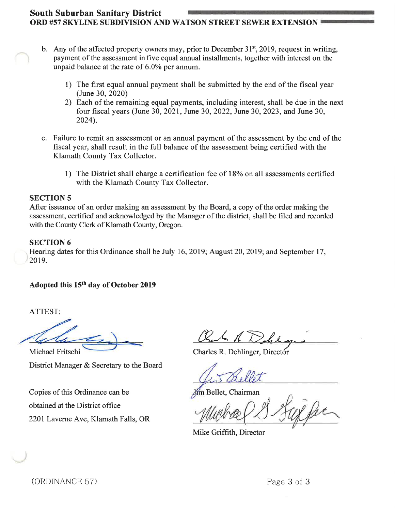# South Suburban Sanitary District ORD #57 SKYLINE SUBDIVISION AND WATSON STREET SEWER EXTENSION !

- b. Any of the affected property owners may, prior to December  $31<sup>st</sup>$ , 2019, request in writing, payment of the assessment in five equal annual installments, together with interest on the unpaid balance at the rate of  $6.0\%$  per annum.
	- 1) The first equal annual payment shall be submitted by the end of the fiscal year (June 30,2020)
	- 2) Each of the remaining equal payments, including interest, shall be due in the next four fiscal years (June 30,2021, June 30, 2022, June 30,2023, and June 30, 2024).
- c. Failure to remit an assessment or an annual payment of the assessment by the end of the fiscal year, shall result in the full balance of the assessment being certified with the Klamath County Tax Collector.
	- l) The District shall charge a certification fee of l8%o on all assessments certified with the Klamath County Tax Collector.

#### SECTION 5

After issuance of an order making an assessment by the Board, a copy of the order making the assessment, certified and acknowledged by the Manager of the district, shall be filed and recorded with the County Clerk of Klamath County, Oregon.

## SECTION 6

Hearing dates for this Ordinance shall be July 16,2019; August 20,2019; and September 17, 20t9.

Adopted this 15<sup>th</sup> day of October 2019

ATTEST:

District Manager & Secretary to the Board

Copies of this Ordinance can be obtained at the District office 2201Laverne Ave, Klamath Falls, OR

Out & Delkey

Michael Fritschi Charles R. Dehlinger, Director

**Jim Bellet**, Chairman

Vet

Mike Griffith, Director